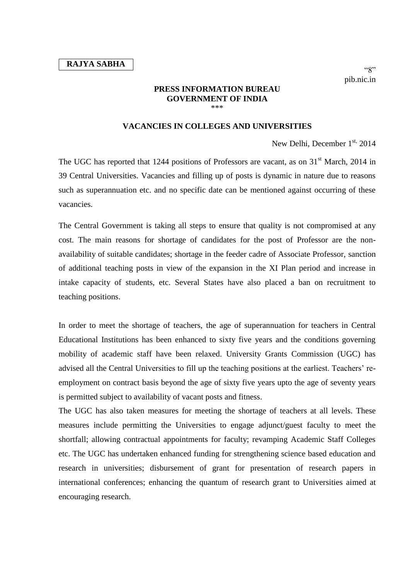## **PRESS INFORMATION BUREAU GOVERNMENT OF INDIA** \*\*\*

## **VACANCIES IN COLLEGES AND UNIVERSITIES**

New Delhi, December 1<sup>st,</sup> 2014

The UGC has reported that 1244 positions of Professors are vacant, as on 31<sup>st</sup> March, 2014 in 39 Central Universities. Vacancies and filling up of posts is dynamic in nature due to reasons such as superannuation etc. and no specific date can be mentioned against occurring of these vacancies.

The Central Government is taking all steps to ensure that quality is not compromised at any cost. The main reasons for shortage of candidates for the post of Professor are the nonavailability of suitable candidates; shortage in the feeder cadre of Associate Professor, sanction of additional teaching posts in view of the expansion in the XI Plan period and increase in intake capacity of students, etc. Several States have also placed a ban on recruitment to teaching positions.

In order to meet the shortage of teachers, the age of superannuation for teachers in Central Educational Institutions has been enhanced to sixty five years and the conditions governing mobility of academic staff have been relaxed. University Grants Commission (UGC) has advised all the Central Universities to fill up the teaching positions at the earliest. Teachers' reemployment on contract basis beyond the age of sixty five years upto the age of seventy years is permitted subject to availability of vacant posts and fitness.

The UGC has also taken measures for meeting the shortage of teachers at all levels. These measures include permitting the Universities to engage adjunct/guest faculty to meet the shortfall; allowing contractual appointments for faculty; revamping Academic Staff Colleges etc. The UGC has undertaken enhanced funding for strengthening science based education and research in universities; disbursement of grant for presentation of research papers in international conferences; enhancing the quantum of research grant to Universities aimed at encouraging research.